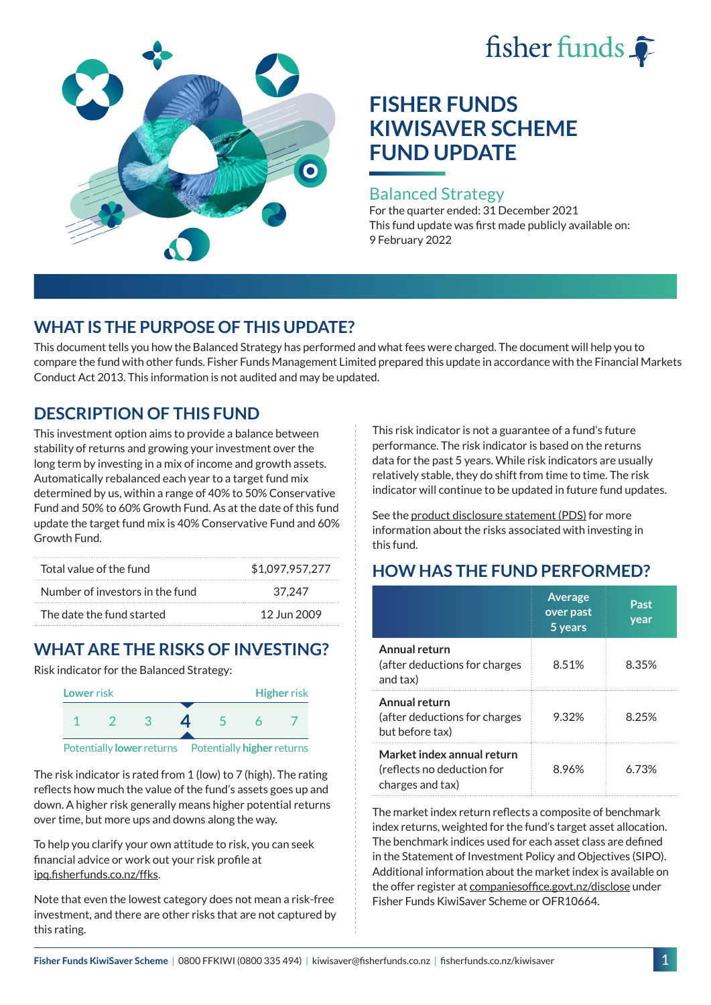# fisher funds



# **FISHER FUNDS KIWISAVER SCHEME FUND UPDATE**

#### Balanced Strategy

For the quarter ended: 31 December 2021 This fund update was first made publicly available on: 9 February 2022

# **WHAT IS THE PURPOSE OF THIS UPDATE?**

This document tells you how the Balanced Strategy has performed and what fees were charged. The document will help you to compare the fund with other funds. Fisher Funds Management Limited prepared this update in accordance with the Financial Markets Conduct Act 2013. This information is not audited and may be updated.

# **DESCRIPTION OF THIS FUND**

This investment option aims to provide a balance between stability of returns and growing your investment over the long term by investing in a mix of income and growth assets. Automatically rebalanced each year to a target fund mix determined by us, within a range of 40% to 50% Conservative Fund and 50% to 60% Growth Fund. As at the date of this fund update the target fund mix is 40% Conservative Fund and 60% Growth Fund.

| Total value of the fund         | \$1,097,957,277 |  |  |
|---------------------------------|-----------------|--|--|
| Number of investors in the fund | 37.247          |  |  |
| The date the fund started       | 12 Jun 2009     |  |  |

# **WHAT ARE THE RISKS OF INVESTING?**

Risk indicator for the Balanced Strategy:



The risk indicator is rated from 1 (low) to 7 (high). The rating reflects how much the value of the fund's assets goes up and down. A higher risk generally means higher potential returns over time, but more ups and downs along the way.

To help you clarify your own attitude to risk, you can seek financial advice or work out your risk profile at [ipq.fisherfunds.co.nz/ffks](https://ipq.fisherfunds.co.nz/ffks).

Note that even the lowest category does not mean a risk-free investment, and there are other risks that are not captured by this rating.

This risk indicator is not a guarantee of a fund's future performance. The risk indicator is based on the returns data for the past 5 years. While risk indicators are usually relatively stable, they do shift from time to time. The risk indicator will continue to be updated in future fund updates.

See the [product disclosure statement \(PDS\)](https://fisherfunds.co.nz/assets/PDS/Fisher-Funds-KiwiSaver-Scheme-PDS.pdf) for more information about the risks associated with investing in this fund.

# **HOW HAS THE FUND PERFORMED?**

|                                                                              | <b>Average</b><br>over past<br>5 years | Past<br>year |
|------------------------------------------------------------------------------|----------------------------------------|--------------|
| Annual return<br>(after deductions for charges<br>and tax)                   | 8.51%                                  | 8.35%        |
| Annual return<br>(after deductions for charges<br>but before tax)            | 9.32%                                  | 8.25%        |
| Market index annual return<br>(reflects no deduction for<br>charges and tax) | 8.96%                                  | 6 73%        |

The market index return reflects a composite of benchmark index returns, weighted for the fund's target asset allocation. The benchmark indices used for each asset class are defined in the Statement of Investment Policy and Objectives (SIPO). Additional information about the market index is available on the offer register at [companiesoffice.govt.nz/disclose](http://companiesoffice.govt.nz/disclose) under Fisher Funds KiwiSaver Scheme or OFR10664.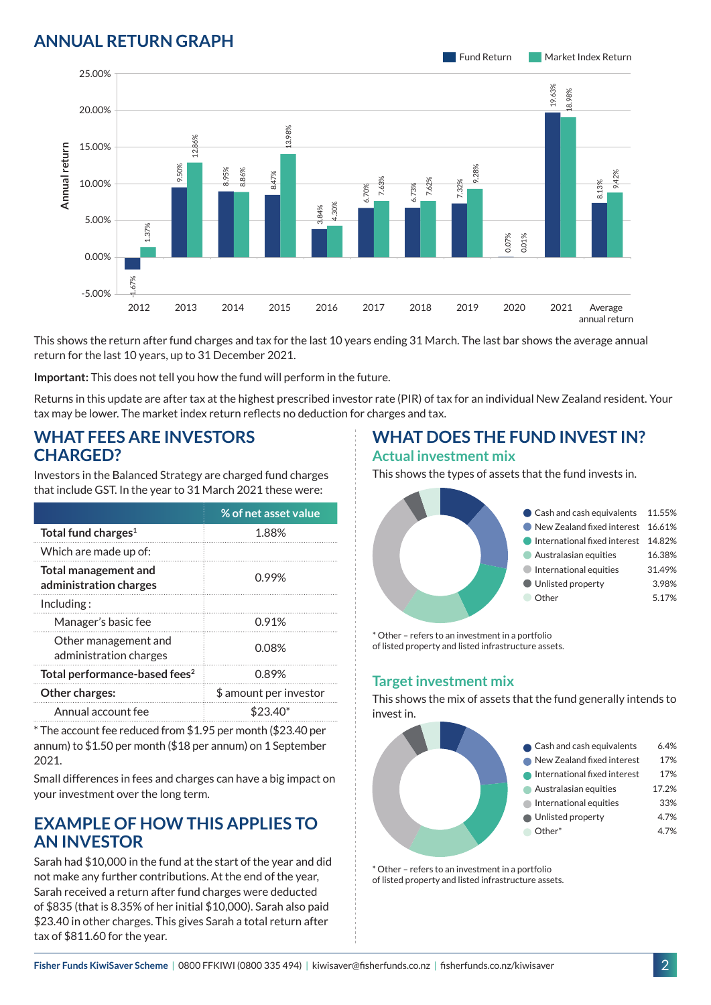## **ANNUAL RETURN GRAPH**



This shows the return after fund charges and tax for the last 10 years ending 31 March. The last bar shows the average annual return for the last 10 years, up to 31 December 2021.

**Important:** This does not tell you how the fund will perform in the future.

Returns in this update are after tax at the highest prescribed investor rate (PIR) of tax for an individual New Zealand resident. Your tax may be lower. The market index return reflects no deduction for charges and tax.

#### **WHAT FEES ARE INVESTORS CHARGED?**

Investors in the Balanced Strategy are charged fund charges that include GST. In the year to 31 March 2021 these were:

|                                                       | % of net asset value   |  |
|-------------------------------------------------------|------------------------|--|
| Total fund charges <sup>1</sup>                       | 1.88%                  |  |
| Which are made up of:                                 |                        |  |
| <b>Total management and</b><br>administration charges | 0.99%                  |  |
| Inding:                                               |                        |  |
| Manager's basic fee                                   | 0.91%                  |  |
| Other management and<br>administration charges        | 0.08%                  |  |
| Total performance-based fees <sup>2</sup>             | 0.89%                  |  |
| <b>Other charges:</b>                                 | \$ amount per investor |  |
| Annual account fee                                    | $$23.40*$              |  |

\* The account fee reduced from \$1.95 per month (\$23.40 per annum) to \$1.50 per month (\$18 per annum) on 1 September 2021.

Small differences in fees and charges can have a big impact on your investment over the long term.

### **EXAMPLE OF HOW THIS APPLIES TO AN INVESTOR**

Sarah had \$10,000 in the fund at the start of the year and did not make any further contributions. At the end of the year, Sarah received a return after fund charges were deducted of \$835 (that is 8.35% of her initial \$10,000). Sarah also paid \$23.40 in other charges. This gives Sarah a total return after tax of \$811.60 for the year.

# **WHAT DOES THE FUND INVEST IN?**

#### **Actual investment mix**

This shows the types of assets that the fund invests in.



\* Other – refers to an investment in a portfolio of listed property and listed infrastructure assets.

#### **Target investment mix**

This shows the mix of assets that the fund generally intends to invest in.



\* Other – refers to an investment in a portfolio of listed property and listed infrastructure assets.